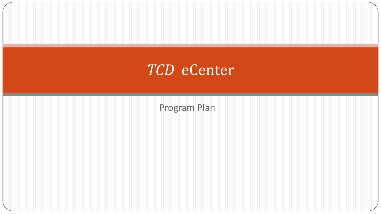#### *TCD* eCenter

Program Plan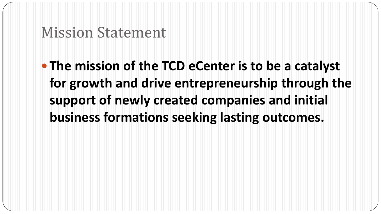#### Mission Statement

 **The mission of the TCD eCenter is to be a catalyst for growth and drive entrepreneurship through the support of newly created companies and initial business formations seeking lasting outcomes.**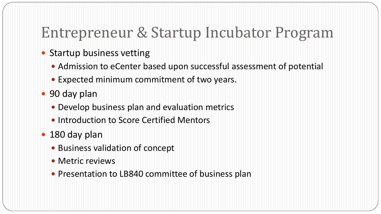# Entrepreneur & Startup Incubator Program

- Startup business vetting
	- Admission to eCenter based upon successful assessment of potential
	- Expected minimum commitment of two years.
- 90 day plan
	- Develop business plan and evaluation metrics
	- Introduction to Score Certified Mentors
- 180 day plan
	- Business validation of concept
	- Metric reviews
	- Presentation to LB840 committee of business plan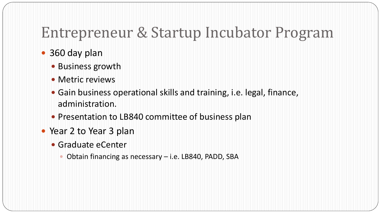# Entrepreneur & Startup Incubator Program

- 360 day plan
	- Business growth
	- Metric reviews
	- Gain business operational skills and training, i.e. legal, finance, administration.
	- Presentation to LB840 committee of business plan
- Year 2 to Year 3 plan
	- Graduate eCenter
		- Obtain financing as necessary i.e. LB840, PADD, SBA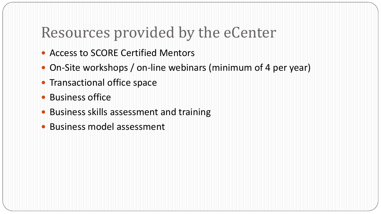# Resources provided by the eCenter

- Access to SCORE Certified Mentors
- On-Site workshops / on-line webinars (minimum of 4 per year)
- Transactional office space
- Business office
- Business skills assessment and training
- Business model assessment